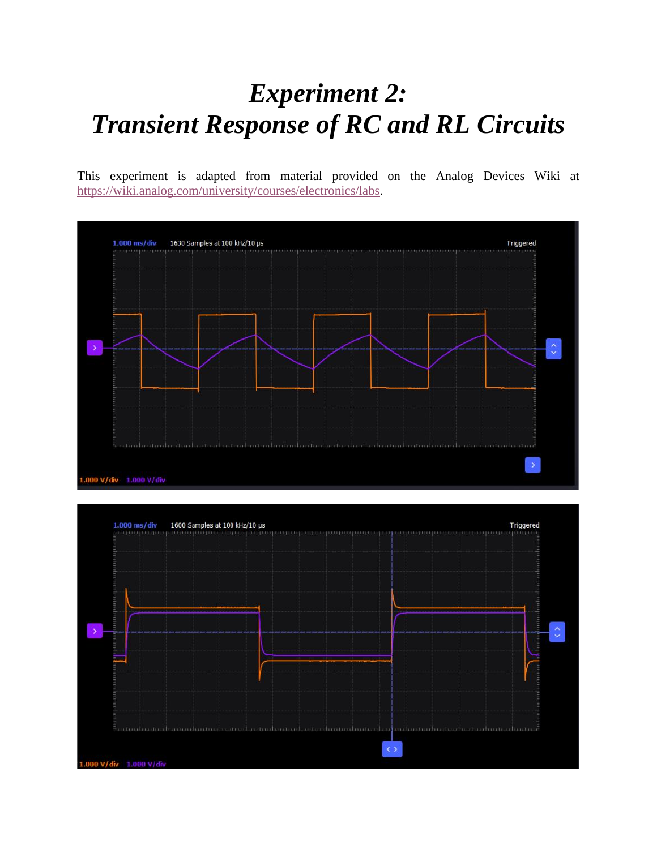# *Experiment 2: Transient Response of RC and RL Circuits*

This experiment is adapted from material provided on the Analog Devices Wiki at [https://wiki.analog.com/university/courses/electronics/labs.](https://wiki.analog.com/university/courses/electronics/labs)



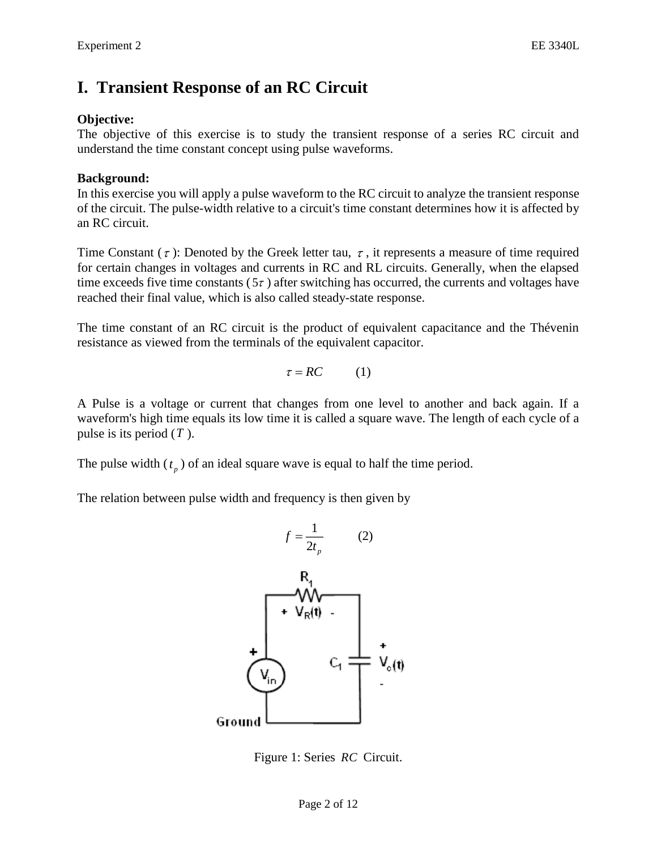# **I. Transient Response of an RC Circuit**

### **Objective:**

The objective of this exercise is to study the transient response of a series RC circuit and understand the time constant concept using pulse waveforms.

### **Background:**

In this exercise you will apply a pulse waveform to the RC circuit to analyze the transient response of the circuit. The pulse-width relative to a circuit's time constant determines how it is affected by an RC circuit.

Time Constant ( $\tau$ ): Denoted by the Greek letter tau,  $\tau$ , it represents a measure of time required for certain changes in voltages and currents in RC and RL circuits. Generally, when the elapsed time exceeds five time constants  $(5\tau)$  after switching has occurred, the currents and voltages have reached their final value, which is also called steady-state response.

The time constant of an RC circuit is the product of equivalent capacitance and the Thévenin resistance as viewed from the terminals of the equivalent capacitor.

$$
\tau = RC \qquad (1)
$$

A Pulse is a voltage or current that changes from one level to another and back again. If a waveform's high time equals its low time it is called a square wave. The length of each cycle of a pulse is its period ( *T* ).

The pulse width  $(t_p)$  of an ideal square wave is equal to half the time period.

The relation between pulse width and frequency is then given by



Figure 1: Series *RC* Circuit.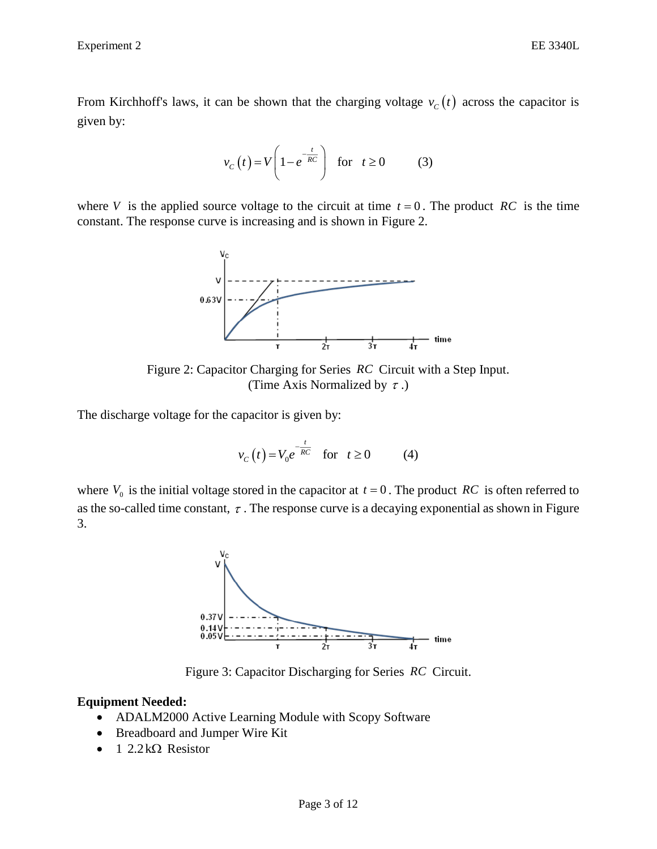From Kirchhoff's laws, it can be shown that the charging voltage  $v_c(t)$  across the capacitor is given by:

$$
v_C(t) = V \left( 1 - e^{-\frac{t}{RC}} \right) \quad \text{for} \quad t \ge 0 \tag{3}
$$

where V is the applied source voltage to the circuit at time  $t = 0$ . The product RC is the time constant. The response curve is increasing and is shown in Figure 2.



Figure 2: Capacitor Charging for Series *RC* Circuit with a Step Input. (Time Axis Normalized by  $\tau$ .)

The discharge voltage for the capacitor is given by:

$$
v_C(t) = V_0 e^{-\frac{t}{RC}} \quad \text{for} \quad t \ge 0 \tag{4}
$$

where  $V_0$  is the initial voltage stored in the capacitor at  $t = 0$ . The product RC is often referred to as the so-called time constant,  $\tau$ . The response curve is a decaying exponential as shown in Figure 3.



Figure 3: Capacitor Discharging for Series *RC* Circuit.

### **Equipment Needed:**

- ADALM2000 Active Learning Module with Scopy Software
- Breadboard and Jumper Wire Kit
- $\bullet$  1 2.2 k $\Omega$  Resistor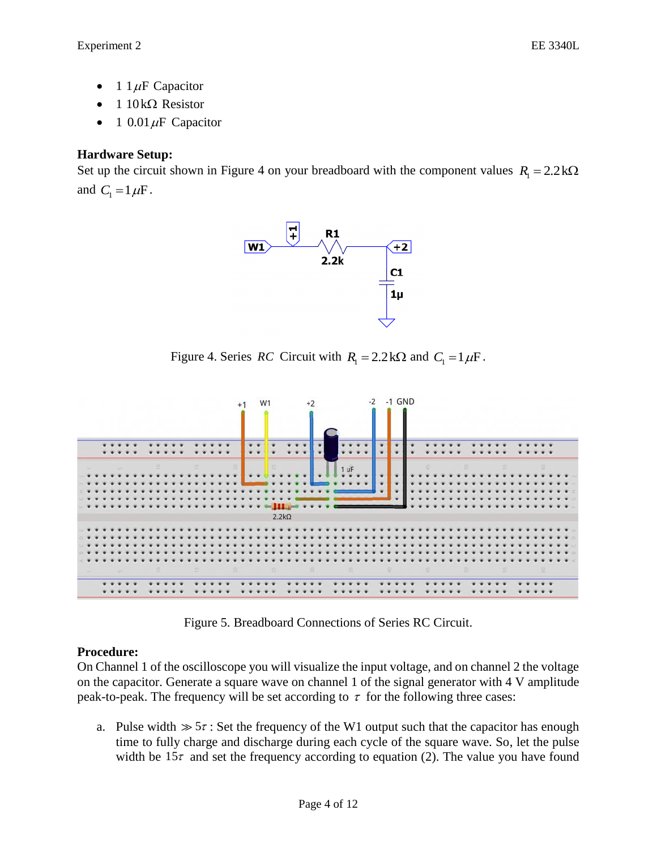- 1  $1 \mu$ F Capacitor
- $\bullet$  1 10 k $\Omega$  Resistor
- 1 0.01  $\mu$ F Capacitor

# **Hardware Setup:**

Set up the circuit shown in Figure 4 on your breadboard with the component values  $R_1 = 2.2 \text{k}\Omega$ and  $C_1 = 1 \mu F$ .



Figure 4. Series *RC* Circuit with  $R_1 = 2.2 \text{ k}\Omega$  and  $C_1 = 1 \mu \text{F}$ .



Figure 5. Breadboard Connections of Series RC Circuit.

# **Procedure:**

On Channel 1 of the oscilloscope you will visualize the input voltage, and on channel 2 the voltage on the capacitor. Generate a square wave on channel 1 of the signal generator with 4 V amplitude peak-to-peak. The frequency will be set according to  $\tau$  for the following three cases:

a. Pulse width  $\gg$  5 $\tau$ : Set the frequency of the W1 output such that the capacitor has enough time to fully charge and discharge during each cycle of the square wave. So, let the pulse width be  $15\tau$  and set the frequency according to equation (2). The value you have found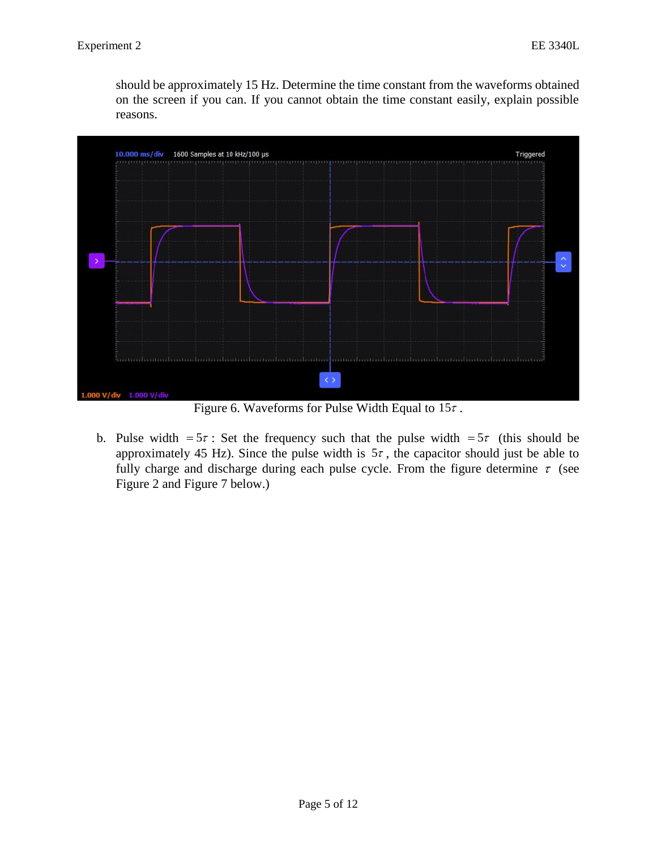should be approximately 15 Hz. Determine the time constant from the waveforms obtained on the screen if you can. If you cannot obtain the time constant easily, explain possible reasons.



Figure 6. Waveforms for Pulse Width Equal to  $15\tau$ .

b. Pulse width =  $5\tau$ : Set the frequency such that the pulse width =  $5\tau$  (this should be approximately 45 Hz). Since the pulse width is  $5\tau$ , the capacitor should just be able to fully charge and discharge during each pulse cycle. From the figure determine  $\tau$  (see Figure 2 and Figure 7 below.)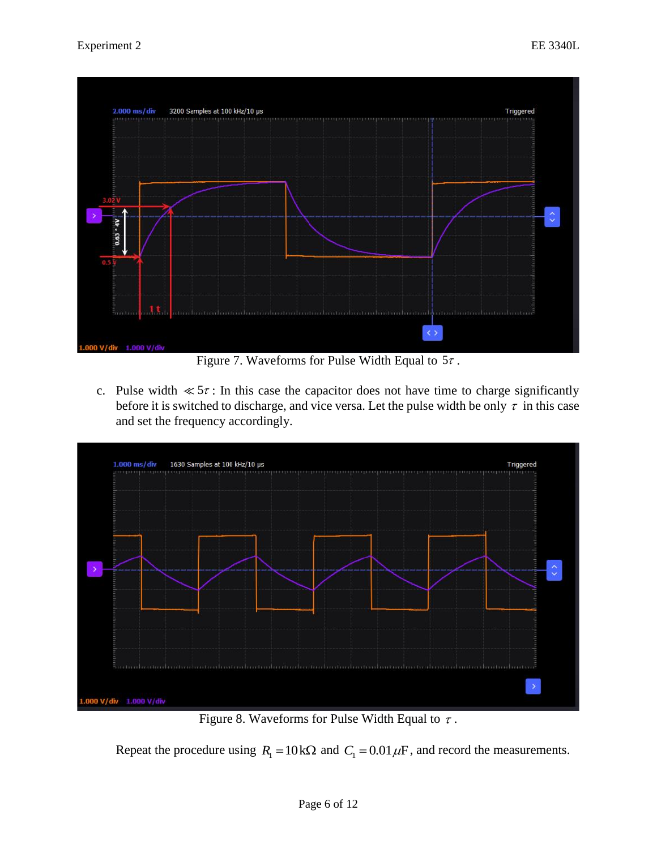

Figure 7. Waveforms for Pulse Width Equal to  $5\tau$ .

c. Pulse width  $\ll 5\tau$ : In this case the capacitor does not have time to charge significantly before it is switched to discharge, and vice versa. Let the pulse width be only  $\tau$  in this case and set the frequency accordingly.



Figure 8. Waveforms for Pulse Width Equal to  $\tau$ .

Repeat the procedure using  $R_1 = 10 \text{k}\Omega$  and  $C_1 = 0.01 \mu\text{F}$ , and record the measurements.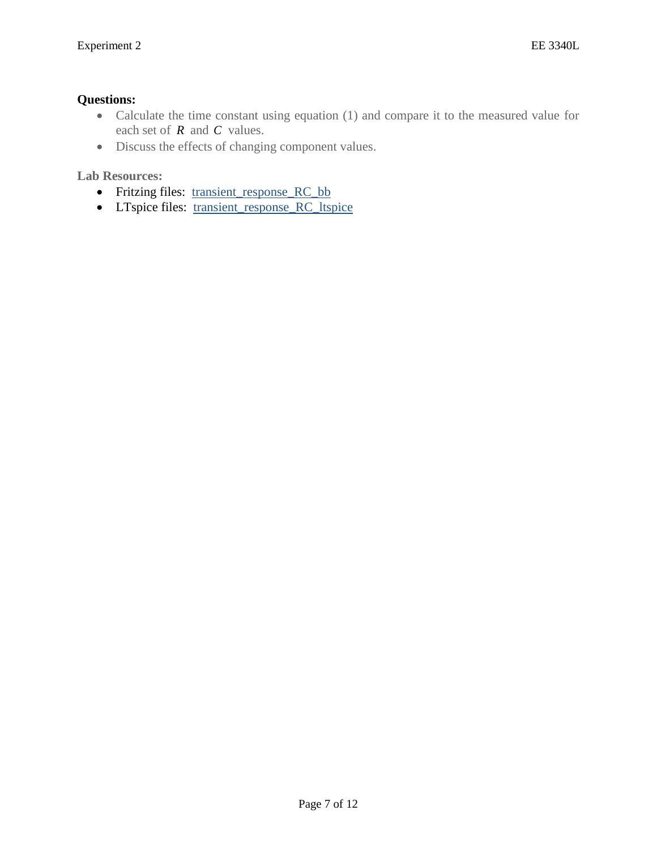### **Questions:**

- Calculate the time constant using equation (1) and compare it to the measured value for each set of *R* and *C* values.
- Discuss the effects of changing component values.

**Lab Resources:**

- Fritzing files: [transient\\_response\\_RC\\_bb](https://analogdevicesinc.github.io/DownGit/#/home?url=https://github.com/analogdevicesinc/education_tools/tree/master/m2k/fritzing/transient_response_RC_bb)
- LTspice files: [transient\\_response\\_RC\\_ltspice](https://analogdevicesinc.github.io/DownGit/#/home?url=https://github.com/analogdevicesinc/education_tools/tree/master/m2k/ltspice/transient_response_RC_ltspice)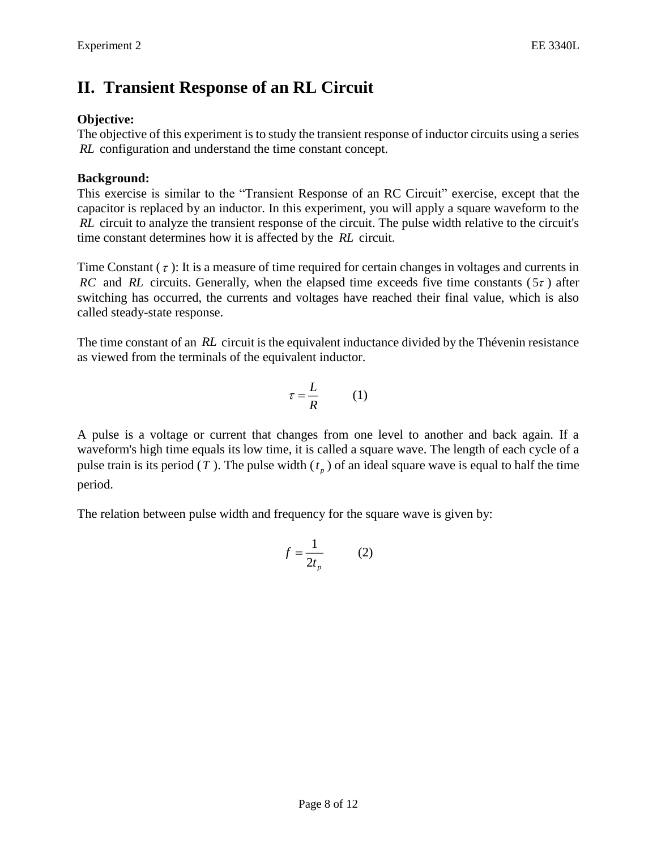# **II. Transient Response of an RL Circuit**

## **Objective:**

The objective of this experiment is to study the transient response of inductor circuits using a series *RL* configuration and understand the time constant concept.

### **Background:**

This exercise is similar to the "Transient Response of an RC Circuit" exercise, except that the capacitor is replaced by an inductor. In this experiment, you will apply a square waveform to the *RL* circuit to analyze the transient response of the circuit. The pulse width relative to the circuit's time constant determines how it is affected by the *RL* circuit.

Time Constant  $(\tau)$ : It is a measure of time required for certain changes in voltages and currents in *RC* and *RL* circuits. Generally, when the elapsed time exceeds five time constants ( $5\tau$ ) after switching has occurred, the currents and voltages have reached their final value, which is also called steady-state response.

The time constant of an RL circuit is the equivalent inductance divided by the Thévenin resistance as viewed from the terminals of the equivalent inductor.

$$
\tau = \frac{L}{R} \tag{1}
$$

A pulse is a voltage or current that changes from one level to another and back again. If a waveform's high time equals its low time, it is called a square wave. The length of each cycle of a pulse train is its period (*T*). The pulse width ( $t<sub>p</sub>$ ) of an ideal square wave is equal to half the time period.

The relation between pulse width and frequency for the square wave is given by:

$$
f = \frac{1}{2t_p} \tag{2}
$$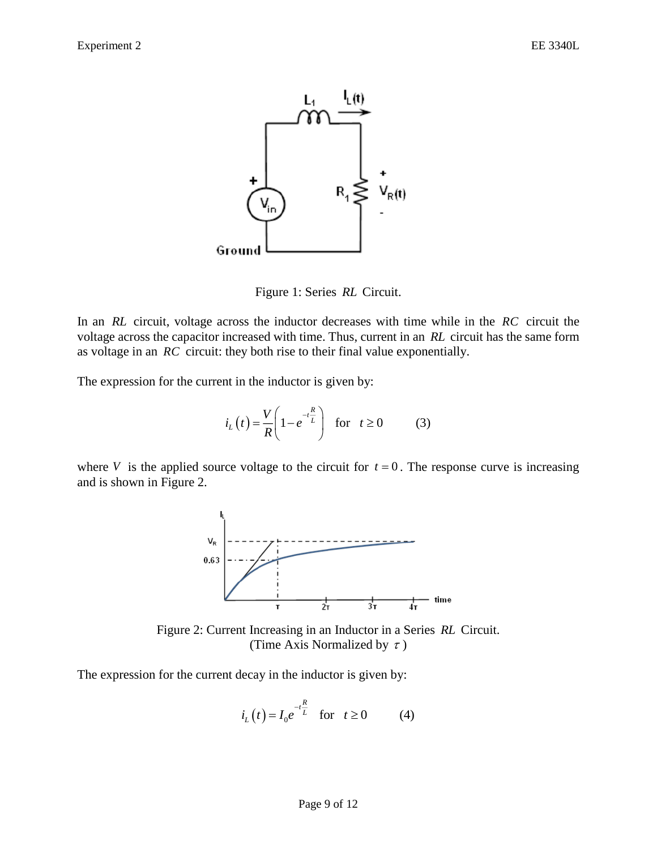

Figure 1: Series *RL* Circuit.

In an RL circuit, voltage across the inductor decreases with time while in the RC circuit the voltage across the capacitor increased with time. Thus, current in an *RL* circuit has the same form as voltage in an *RC* circuit: they both rise to their final value exponentially.

The expression for the current in the inductor is given by:

$$
i_L(t) = \frac{V}{R} \left( 1 - e^{-t\frac{R}{L}} \right) \quad \text{for} \quad t \ge 0 \tag{3}
$$

where V is the applied source voltage to the circuit for  $t = 0$ . The response curve is increasing and is shown in Figure 2.



Figure 2: Current Increasing in an Inductor in a Series *RL* Circuit. (Time Axis Normalized by  $\tau$ )

The expression for the current decay in the inductor is given by:

$$
i_L(t) = I_0 e^{-t\frac{R}{L}}
$$
 for  $t \ge 0$  (4)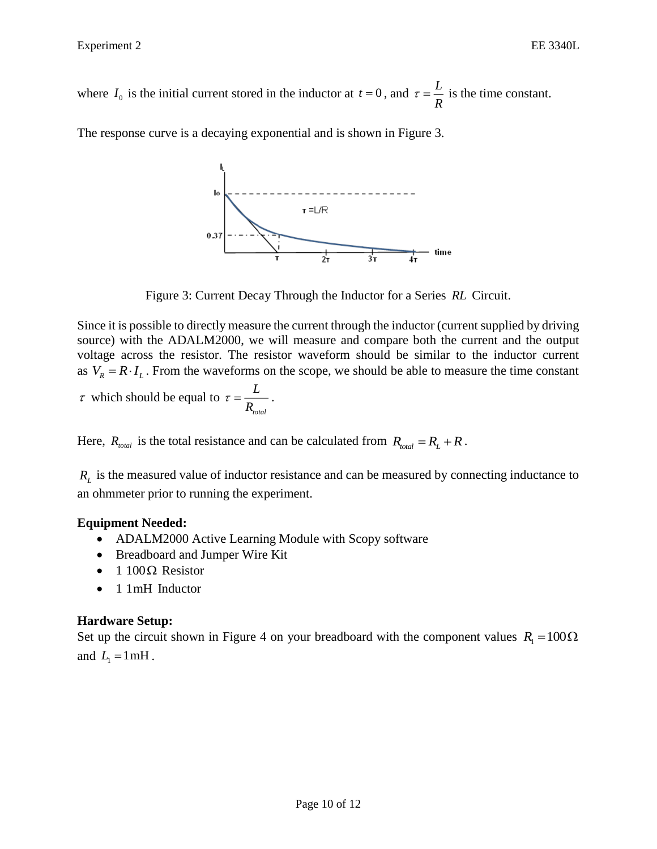where  $I_0$  is the initial current stored in the inductor at  $t = 0$ , and  $\tau = \frac{L}{R}$  $\tau = \frac{E}{R}$  is the time constant.

The response curve is a decaying exponential and is shown in Figure 3.



Figure 3: Current Decay Through the Inductor for a Series *RL* Circuit.

Since it is possible to directly measure the current through the inductor (current supplied by driving source) with the ADALM2000, we will measure and compare both the current and the output voltage across the resistor. The resistor waveform should be similar to the inductor current as  $V_R = R \cdot I_L$ . From the waveforms on the scope, we should be able to measure the time constant  $\tau$  which should be equal to *L*  $\tau = \frac{E}{R_{\text{max}}}$ .

Here,  $R_{total}$  is the total resistance and can be calculated from  $R_{total} = R_L + R$ .

*total*

 $R_L$  is the measured value of inductor resistance and can be measured by connecting inductance to an ohmmeter prior to running the experiment.

### **Equipment Needed:**

- ADALM2000 Active Learning Module with Scopy software
- Breadboard and Jumper Wire Kit
- $\bullet$  1 100 $\Omega$  Resistor
- 1 1mH Inductor

### **Hardware Setup:**

Set up the circuit shown in Figure 4 on your breadboard with the component values  $R_1 = 100\Omega$ and  $L_1 = 1$  mH.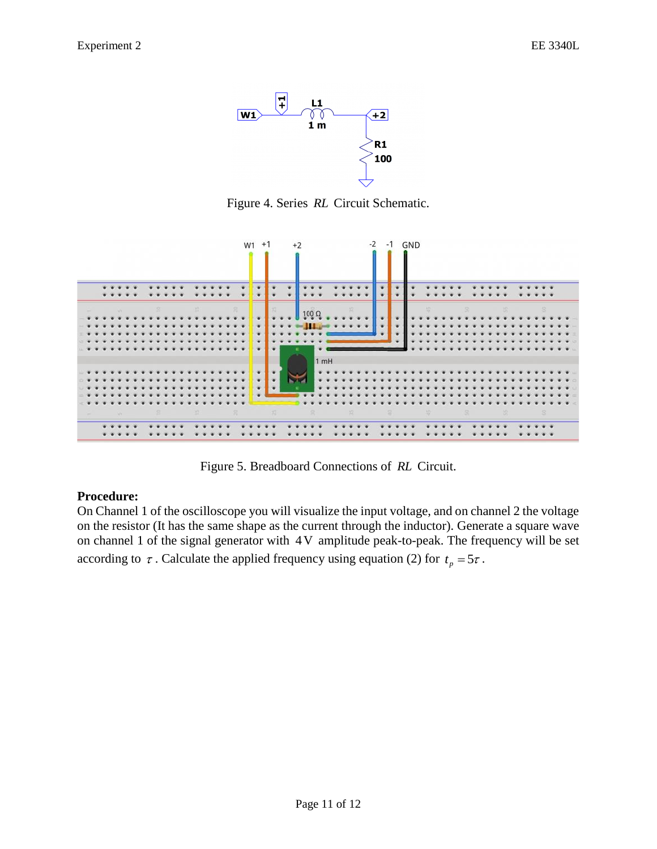

Figure 4. Series *RL* Circuit Schematic.



Figure 5. Breadboard Connections of *RL* Circuit.

#### **Procedure:**

On Channel 1 of the oscilloscope you will visualize the input voltage, and on channel 2 the voltage on the resistor (It has the same shape as the current through the inductor). Generate a square wave on channel 1 of the signal generator with 4V amplitude peak-to-peak. The frequency will be set according to  $\tau$ . Calculate the applied frequency using equation (2) for  $t_p = 5\tau$ .